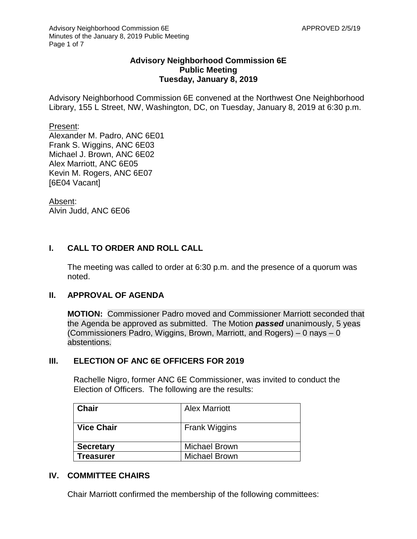## **Advisory Neighborhood Commission 6E Public Meeting Tuesday, January 8, 2019**

Advisory Neighborhood Commission 6E convened at the Northwest One Neighborhood Library, 155 L Street, NW, Washington, DC, on Tuesday, January 8, 2019 at 6:30 p.m.

Present:

Alexander M. Padro, ANC 6E01 Frank S. Wiggins, ANC 6E03 Michael J. Brown, ANC 6E02 Alex Marriott, ANC 6E05 Kevin M. Rogers, ANC 6E07 [6E04 Vacant]

Absent: Alvin Judd, ANC 6E06

# **I. CALL TO ORDER AND ROLL CALL**

The meeting was called to order at 6:30 p.m. and the presence of a quorum was noted.

## **II. APPROVAL OF AGENDA**

**MOTION:** Commissioner Padro moved and Commissioner Marriott seconded that the Agenda be approved as submitted. The Motion *passed* unanimously, 5 yeas (Commissioners Padro, Wiggins, Brown, Marriott, and Rogers) – 0 nays – 0 abstentions.

## **III. ELECTION OF ANC 6E OFFICERS FOR 2019**

Rachelle Nigro, former ANC 6E Commissioner, was invited to conduct the Election of Officers. The following are the results:

| <b>Chair</b>      | <b>Alex Marriott</b> |
|-------------------|----------------------|
| <b>Vice Chair</b> | <b>Frank Wiggins</b> |
| <b>Secretary</b>  | <b>Michael Brown</b> |
| Treasurer         | <b>Michael Brown</b> |

## **IV. COMMITTEE CHAIRS**

Chair Marriott confirmed the membership of the following committees: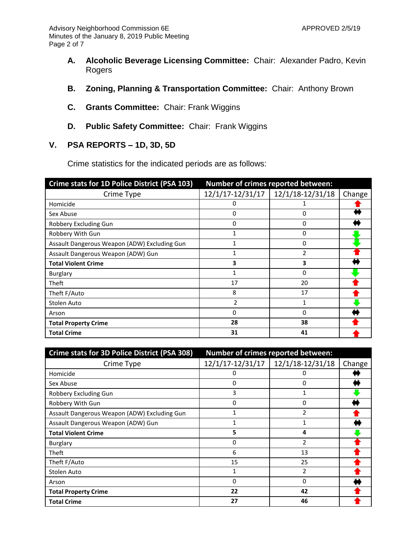- **A. Alcoholic Beverage Licensing Committee:** Chair: Alexander Padro, Kevin Rogers
- **B. Zoning, Planning & Transportation Committee:** Chair: Anthony Brown
- **C. Grants Committee:** Chair: Frank Wiggins
- **D. Public Safety Committee:** Chair: Frank Wiggins

## **V. PSA REPORTS – 1D, 3D, 5D**

Crime statistics for the indicated periods are as follows:

| Crime stats for 1D Police District (PSA 103) | Number of crimes reported between: |                  |        |
|----------------------------------------------|------------------------------------|------------------|--------|
| Crime Type                                   | 12/1/17-12/31/17                   | 12/1/18-12/31/18 | Change |
| Homicide                                     | 0                                  |                  |        |
| Sex Abuse                                    | 0                                  | 0                |        |
| Robbery Excluding Gun                        | 0                                  | 0                |        |
| Robbery With Gun                             |                                    | 0                |        |
| Assault Dangerous Weapon (ADW) Excluding Gun | 1                                  | 0                |        |
| Assault Dangerous Weapon (ADW) Gun           |                                    | $\overline{2}$   |        |
| <b>Total Violent Crime</b>                   | 3                                  | 3                |        |
| Burglary                                     | 1                                  | 0                |        |
| Theft                                        | 17                                 | 20               |        |
| Theft F/Auto                                 | 8                                  | 17               |        |
| Stolen Auto                                  | 2                                  | 1                |        |
| Arson                                        | 0                                  | 0                |        |
| <b>Total Property Crime</b>                  | 28                                 | 38               |        |
| <b>Total Crime</b>                           | 31                                 | 41               |        |

| Crime stats for 3D Police District (PSA 308) | Number of crimes reported between: |                  |        |
|----------------------------------------------|------------------------------------|------------------|--------|
| Crime Type                                   | 12/1/17-12/31/17                   | 12/1/18-12/31/18 | Change |
| Homicide                                     | 0                                  | 0                |        |
| Sex Abuse                                    | 0                                  | 0                |        |
| Robbery Excluding Gun                        | 3                                  | 1                |        |
| Robbery With Gun                             | 0                                  | $\Omega$         |        |
| Assault Dangerous Weapon (ADW) Excluding Gun | 1                                  | 2                |        |
| Assault Dangerous Weapon (ADW) Gun           | 1                                  | 1                |        |
| <b>Total Violent Crime</b>                   | 5                                  | 4                |        |
| Burglary                                     | 0                                  | $\mathfrak{p}$   |        |
| Theft                                        | 6                                  | 13               |        |
| Theft F/Auto                                 | 15                                 | 25               |        |
| Stolen Auto                                  | 1                                  | 2                |        |
| Arson                                        | 0                                  | $\Omega$         |        |
| <b>Total Property Crime</b>                  | 22                                 | 42               |        |
| <b>Total Crime</b>                           | 27                                 | 46               |        |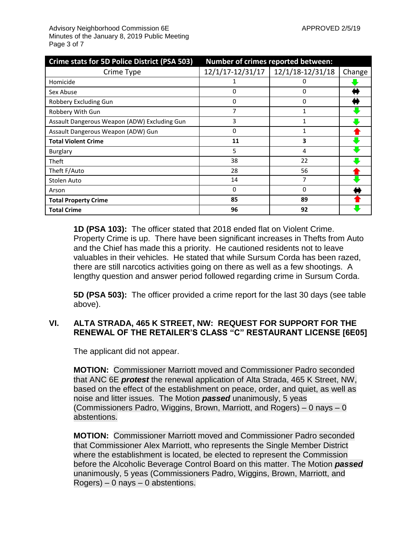| Crime stats for 5D Police District (PSA 503) | Number of crimes reported between: |                  |        |
|----------------------------------------------|------------------------------------|------------------|--------|
| Crime Type                                   | 12/1/17-12/31/17                   | 12/1/18-12/31/18 | Change |
| Homicide                                     |                                    | 0                |        |
| Sex Abuse                                    | 0                                  | $\Omega$         |        |
| Robbery Excluding Gun                        | 0                                  | 0                |        |
| Robbery With Gun                             |                                    | 1                |        |
| Assault Dangerous Weapon (ADW) Excluding Gun | 3                                  |                  |        |
| Assault Dangerous Weapon (ADW) Gun           | $\Omega$                           | 1                |        |
| <b>Total Violent Crime</b>                   | 11                                 | 3                |        |
| Burglary                                     | 5                                  | 4                |        |
| Theft                                        | 38                                 | 22               |        |
| Theft F/Auto                                 | 28                                 | 56               |        |
| Stolen Auto                                  | 14                                 | 7                |        |
| Arson                                        | 0                                  | $\Omega$         |        |
| <b>Total Property Crime</b>                  | 85                                 | 89               |        |
| <b>Total Crime</b>                           | 96                                 | 92               |        |

**1D (PSA 103):** The officer stated that 2018 ended flat on Violent Crime. Property Crime is up. There have been significant increases in Thefts from Auto and the Chief has made this a priority. He cautioned residents not to leave valuables in their vehicles. He stated that while Sursum Corda has been razed, there are still narcotics activities going on there as well as a few shootings. A lengthy question and answer period followed regarding crime in Sursum Corda.

**5D (PSA 503):** The officer provided a crime report for the last 30 days (see table above).

## **VI. ALTA STRADA, 465 K STREET, NW: REQUEST FOR SUPPORT FOR THE RENEWAL OF THE RETAILER'S CLASS "C" RESTAURANT LICENSE [6E05]**

The applicant did not appear.

**MOTION:** Commissioner Marriott moved and Commissioner Padro seconded that ANC 6E *protest* the renewal application of Alta Strada, 465 K Street, NW, based on the effect of the establishment on peace, order, and quiet, as well as noise and litter issues. The Motion *passed* unanimously, 5 yeas (Commissioners Padro, Wiggins, Brown, Marriott, and Rogers) – 0 nays – 0 abstentions.

**MOTION:** Commissioner Marriott moved and Commissioner Padro seconded that Commissioner Alex Marriott, who represents the Single Member District where the establishment is located, be elected to represent the Commission before the Alcoholic Beverage Control Board on this matter. The Motion *passed* unanimously, 5 yeas (Commissioners Padro, Wiggins, Brown, Marriott, and  $Rogers$ ) – 0 nays – 0 abstentions.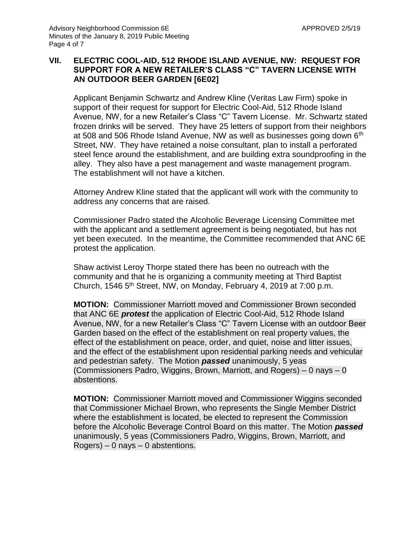## **VII. ELECTRIC COOL-AID, 512 RHODE ISLAND AVENUE, NW: REQUEST FOR SUPPORT FOR A NEW RETAILER'S CLASS "C" TAVERN LICENSE WITH AN OUTDOOR BEER GARDEN [6E02]**

Applicant Benjamin Schwartz and Andrew Kline (Veritas Law Firm) spoke in support of their request for support for Electric Cool-Aid, 512 Rhode Island Avenue, NW, for a new Retailer's Class "C" Tavern License. Mr. Schwartz stated frozen drinks will be served. They have 25 letters of support from their neighbors at 508 and 506 Rhode Island Avenue, NW as well as businesses going down 6<sup>th</sup> Street, NW. They have retained a noise consultant, plan to install a perforated steel fence around the establishment, and are building extra soundproofing in the alley. They also have a pest management and waste management program. The establishment will not have a kitchen.

Attorney Andrew Kline stated that the applicant will work with the community to address any concerns that are raised.

Commissioner Padro stated the Alcoholic Beverage Licensing Committee met with the applicant and a settlement agreement is being negotiated, but has not yet been executed. In the meantime, the Committee recommended that ANC 6E protest the application.

Shaw activist Leroy Thorpe stated there has been no outreach with the community and that he is organizing a community meeting at Third Baptist Church, 1546 5th Street, NW, on Monday, February 4, 2019 at 7:00 p.m.

**MOTION:** Commissioner Marriott moved and Commissioner Brown seconded that ANC 6E *protest* the application of Electric Cool-Aid, 512 Rhode Island Avenue, NW, for a new Retailer's Class "C" Tavern License with an outdoor Beer Garden based on the effect of the establishment on real property values, the effect of the establishment on peace, order, and quiet, noise and litter issues, and the effect of the establishment upon residential parking needs and vehicular and pedestrian safety. The Motion *passed* unanimously, 5 yeas (Commissioners Padro, Wiggins, Brown, Marriott, and Rogers) – 0 nays – 0 abstentions.

**MOTION:** Commissioner Marriott moved and Commissioner Wiggins seconded that Commissioner Michael Brown, who represents the Single Member District where the establishment is located, be elected to represent the Commission before the Alcoholic Beverage Control Board on this matter. The Motion *passed* unanimously, 5 yeas (Commissioners Padro, Wiggins, Brown, Marriott, and  $Rogers$ ) – 0 nays – 0 abstentions.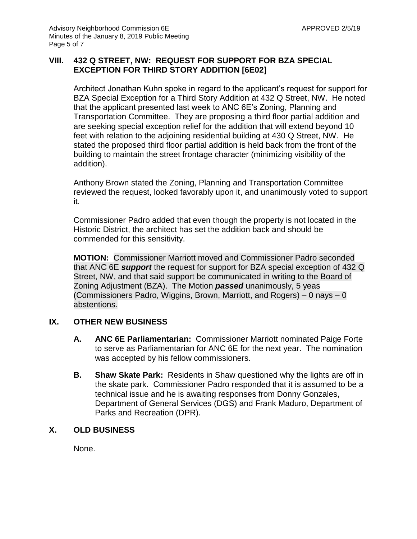## **VIII. 432 Q STREET, NW: REQUEST FOR SUPPORT FOR BZA SPECIAL EXCEPTION FOR THIRD STORY ADDITION [6E02]**

Architect Jonathan Kuhn spoke in regard to the applicant's request for support for BZA Special Exception for a Third Story Addition at 432 Q Street, NW. He noted that the applicant presented last week to ANC 6E's Zoning, Planning and Transportation Committee. They are proposing a third floor partial addition and are seeking special exception relief for the addition that will extend beyond 10 feet with relation to the adjoining residential building at 430 Q Street, NW. He stated the proposed third floor partial addition is held back from the front of the building to maintain the street frontage character (minimizing visibility of the addition).

Anthony Brown stated the Zoning, Planning and Transportation Committee reviewed the request, looked favorably upon it, and unanimously voted to support it.

Commissioner Padro added that even though the property is not located in the Historic District, the architect has set the addition back and should be commended for this sensitivity.

**MOTION:** Commissioner Marriott moved and Commissioner Padro seconded that ANC 6E *support* the request for support for BZA special exception of 432 Q Street, NW, and that said support be communicated in writing to the Board of Zoning Adjustment (BZA). The Motion *passed* unanimously, 5 yeas (Commissioners Padro, Wiggins, Brown, Marriott, and Rogers) – 0 nays – 0 abstentions.

## **IX. OTHER NEW BUSINESS**

- **A. ANC 6E Parliamentarian:** Commissioner Marriott nominated Paige Forte to serve as Parliamentarian for ANC 6E for the next year. The nomination was accepted by his fellow commissioners.
- **B. Shaw Skate Park:** Residents in Shaw questioned why the lights are off in the skate park. Commissioner Padro responded that it is assumed to be a technical issue and he is awaiting responses from Donny Gonzales, Department of General Services (DGS) and Frank Maduro, Department of Parks and Recreation (DPR).

## **X. OLD BUSINESS**

None.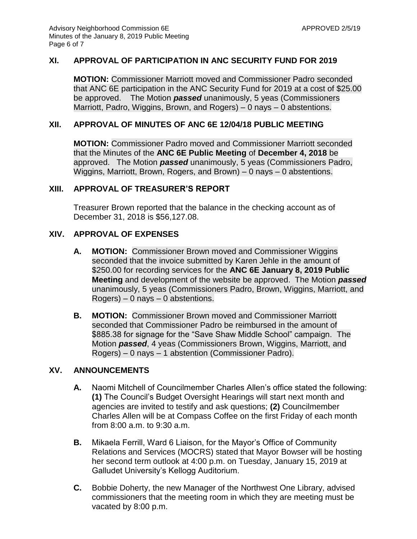## **XI. APPROVAL OF PARTICIPATION IN ANC SECURITY FUND FOR 2019**

**MOTION:** Commissioner Marriott moved and Commissioner Padro seconded that ANC 6E participation in the ANC Security Fund for 2019 at a cost of \$25.00 be approved. The Motion *passed* unanimously, 5 yeas (Commissioners Marriott, Padro, Wiggins, Brown, and Rogers) – 0 nays – 0 abstentions.

#### **XII. APPROVAL OF MINUTES OF ANC 6E 12/04/18 PUBLIC MEETING**

**MOTION:** Commissioner Padro moved and Commissioner Marriott seconded that the Minutes of the **ANC 6E Public Meeting** of **December 4, 2018** be approved. The Motion *passed* unanimously, 5 yeas (Commissioners Padro, Wiggins, Marriott, Brown, Rogers, and Brown) – 0 nays – 0 abstentions.

#### **XIII. APPROVAL OF TREASURER'S REPORT**

Treasurer Brown reported that the balance in the checking account as of December 31, 2018 is \$56,127.08.

#### **XIV. APPROVAL OF EXPENSES**

- **A. MOTION:** Commissioner Brown moved and Commissioner Wiggins seconded that the invoice submitted by Karen Jehle in the amount of \$250.00 for recording services for the **ANC 6E January 8, 2019 Public Meeting** and development of the website be approved. The Motion *passed* unanimously, 5 yeas (Commissioners Padro, Brown, Wiggins, Marriott, and Rogers) – 0 nays – 0 abstentions.
- **B. MOTION:** Commissioner Brown moved and Commissioner Marriott seconded that Commissioner Padro be reimbursed in the amount of \$885.38 for signage for the "Save Shaw Middle School" campaign. The Motion *passed*, 4 yeas (Commissioners Brown, Wiggins, Marriott, and Rogers) – 0 nays – 1 abstention (Commissioner Padro).

## **XV. ANNOUNCEMENTS**

- **A.** Naomi Mitchell of Councilmember Charles Allen's office stated the following: **(1)** The Council's Budget Oversight Hearings will start next month and agencies are invited to testify and ask questions; **(2)** Councilmember Charles Allen will be at Compass Coffee on the first Friday of each month from 8:00 a.m. to 9:30 a.m.
- **B.** Mikaela Ferrill, Ward 6 Liaison, for the Mayor's Office of Community Relations and Services (MOCRS) stated that Mayor Bowser will be hosting her second term outlook at 4:00 p.m. on Tuesday, January 15, 2019 at Galludet University's Kellogg Auditorium.
- **C.** Bobbie Doherty, the new Manager of the Northwest One Library, advised commissioners that the meeting room in which they are meeting must be vacated by 8:00 p.m.